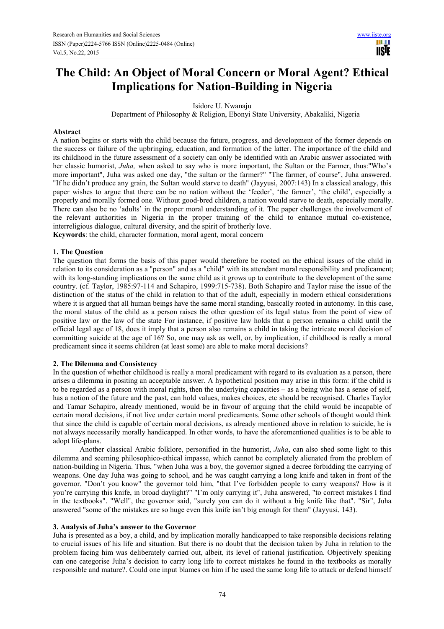# **The Child: An Object of Moral Concern or Moral Agent? Ethical Implications for Nation-Building in Nigeria**

Isidore U. Nwanaju

Department of Philosophy & Religion, Ebonyi State University, Abakaliki, Nigeria

# **Abstract**

A nation begins or starts with the child because the future, progress, and development of the former depends on the success or failure of the upbringing, education, and formation of the latter. The importance of the child and its childhood in the future assessment of a society can only be identified with an Arabic answer associated with her classic humorist, *Juha,* when asked to say who is more important, the Sultan or the Farmer, thus:"Who's more important", Juha was asked one day, "the sultan or the farmer?" "The farmer, of course", Juha answered. "If he didn't produce any grain, the Sultan would starve to death" (Jayyusi, 2007:143) In a classical analogy, this paper wishes to argue that there can be no nation without the 'feeder', 'the farmer', 'the child', especially a properly and morally formed one. Without good-bred children, a nation would starve to death, especially morally. There can also be no 'adults' in the proper moral understanding of it. The paper challenges the involvement of the relevant authorities in Nigeria in the proper training of the child to enhance mutual co-existence, interreligious dialogue, cultural diversity, and the spirit of brotherly love. **Keywords**: the child, character formation, moral agent, moral concern

# **1. The Question**

The question that forms the basis of this paper would therefore be rooted on the ethical issues of the child in relation to its consideration as a "person" and as a "child" with its attendant moral responsibility and predicament; with its long-standing implications on the same child as it grows up to contribute to the development of the same country. (cf. Taylor, 1985:97-114 and Schapiro, 1999:715-738). Both Schapiro and Taylor raise the issue of the distinction of the status of the child in relation to that of the adult, especially in modern ethical considerations where it is argued that all human beings have the same moral standing, basically rooted in autonomy. In this case, the moral status of the child as a person raises the other question of its legal status from the point of view of positive law or the law of the state For instance, if positive law holds that a person remains a child until the official legal age of 18, does it imply that a person also remains a child in taking the intricate moral decision of committing suicide at the age of 16? So, one may ask as well, or, by implication, if childhood is really a moral predicament since it seems children (at least some) are able to make moral decisions?

#### **2. The Dilemma and Consistency**

In the question of whether childhood is really a moral predicament with regard to its evaluation as a person, there arises a dilemma in positing an acceptable answer. A hypothetical position may arise in this form: if the child is to be regarded as a person with moral rights, then the underlying capacities – as a being who has a sense of self, has a notion of the future and the past, can hold values, makes choices, etc should be recognised. Charles Taylor and Tamar Schapiro, already mentioned, would be in favour of arguing that the child would be incapable of certain moral decisions, if not live under certain moral predicaments. Some other schools of thought would think that since the child is capable of certain moral decisions, as already mentioned above in relation to suicide, he is not always necessarily morally handicapped. In other words, to have the aforementioned qualities is to be able to adopt life-plans.

Another classical Arabic folklore, personified in the humorist, *Juha*, can also shed some light to this dilemma and seeming philosophico-ethical impasse, which cannot be completely alienated from the problem of nation-building in Nigeria. Thus, "when Juha was a boy, the governor signed a decree forbidding the carrying of weapons. One day Juha was going to school, and he was caught carrying a long knife and taken in front of the governor. "Don't you know" the governor told him, "that I've forbidden people to carry weapons? How is it you're carrying this knife, in broad daylight?" "I'm only carrying it", Juha answered, "to correct mistakes I find in the textbooks". "Well", the governor said, "surely you can do it without a big knife like that". "Sir", Juha answered "some of the mistakes are so huge even this knife isn't big enough for them" (Jayyusi, 143).

## **3. Analysis of Juha's answer to the Governor**

Juha is presented as a boy, a child, and by implication morally handicapped to take responsible decisions relating to crucial issues of his life and situation. But there is no doubt that the decision taken by Juha in relation to the problem facing him was deliberately carried out, albeit, its level of rational justification. Objectively speaking can one categorise Juha's decision to carry long life to correct mistakes he found in the textbooks as morally responsible and mature?. Could one input blames on him if he used the same long life to attack or defend himself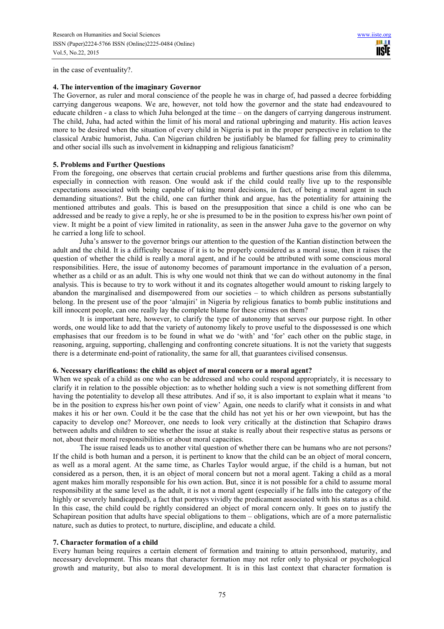in the case of eventuality?.

# **4. The intervention of the imaginary Governor**

The Governor, as ruler and moral conscience of the people he was in charge of, had passed a decree forbidding carrying dangerous weapons. We are, however, not told how the governor and the state had endeavoured to educate children - a class to which Juha belonged at the time – on the dangers of carrying dangerous instrument. The child, Juha, had acted within the limit of his moral and rational upbringing and maturity. His action leaves more to be desired when the situation of every child in Nigeria is put in the proper perspective in relation to the classical Arabic humorist, Juha. Can Nigerian children be justifiably be blamed for falling prey to criminality and other social ills such as involvement in kidnapping and religious fanaticism?

#### **5. Problems and Further Questions**

From the foregoing, one observes that certain crucial problems and further questions arise from this dilemma, especially in connection with reason. One would ask if the child could really live up to the responsible expectations associated with being capable of taking moral decisions, in fact, of being a moral agent in such demanding situations?. But the child, one can further think and argue, has the potentiality for attaining the mentioned attributes and goals. This is based on the presupposition that since a child is one who can be addressed and be ready to give a reply, he or she is presumed to be in the position to express his/her own point of view. It might be a point of view limited in rationality, as seen in the answer Juha gave to the governor on why he carried a long life to school.

Juha's answer to the governor brings our attention to the question of the Kantian distinction between the adult and the child. It is a difficulty because if it is to be properly considered as a moral issue, then it raises the question of whether the child is really a moral agent, and if he could be attributed with some conscious moral responsibilities. Here, the issue of autonomy becomes of paramount importance in the evaluation of a person, whether as a child or as an adult. This is why one would not think that we can do without autonomy in the final analysis. This is because to try to work without it and its cognates altogether would amount to risking largely to abandon the marginalised and disempowered from our societies – to which children as persons substantially belong. In the present use of the poor 'almajiri' in Nigeria by religious fanatics to bomb public institutions and kill innocent people, can one really lay the complete blame for these crimes on them?

It is important here, however, to clarify the type of autonomy that serves our purpose right. In other words, one would like to add that the variety of autonomy likely to prove useful to the dispossessed is one which emphasises that our freedom is to be found in what we do 'with' and 'for' each other on the public stage, in reasoning, arguing, supporting, challenging and confronting concrete situations. It is not the variety that suggests there is a determinate end-point of rationality, the same for all, that guarantees civilised consensus.

#### **6. Necessary clarifications: the child as object of moral concern or a moral agent?**

When we speak of a child as one who can be addressed and who could respond appropriately, it is necessary to clarify it in relation to the possible objection: as to whether holding such a view is not something different from having the potentiality to develop all these attributes. And if so, it is also important to explain what it means 'to be in the position to express his/her own point of view' Again, one needs to clarify what it consists in and what makes it his or her own. Could it be the case that the child has not yet his or her own viewpoint, but has the capacity to develop one? Moreover, one needs to look very critically at the distinction that Schapiro draws between adults and children to see whether the issue at stake is really about their respective status as persons or not, about their moral responsibilities or about moral capacities.

The issue raised leads us to another vital question of whether there can be humans who are not persons? If the child is both human and a person, it is pertinent to know that the child can be an object of moral concern, as well as a moral agent. At the same time, as Charles Taylor would argue, if the child is a human, but not considered as a person, then, it is an object of moral concern but not a moral agent. Taking a child as a moral agent makes him morally responsible for his own action. But, since it is not possible for a child to assume moral responsibility at the same level as the adult, it is not a moral agent (especially if he falls into the category of the highly or severely handicapped), a fact that portrays vividly the predicament associated with his status as a child. In this case, the child could be rightly considered an object of moral concern only. It goes on to justify the Schapirean position that adults have special obligations to them – obligations, which are of a more paternalistic nature, such as duties to protect, to nurture, discipline, and educate a child.

## **7. Character formation of a child**

Every human being requires a certain element of formation and training to attain personhood, maturity, and necessary development. This means that character formation may not refer only to physical or psychological growth and maturity, but also to moral development. It is in this last context that character formation is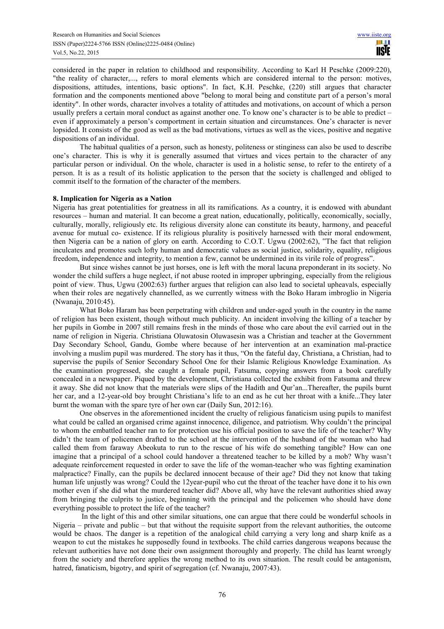considered in the paper in relation to childhood and responsibility. According to Karl H Peschke (2009:220), "the reality of character,..., refers to moral elements which are considered internal to the person: motives, dispositions, attitudes, intentions, basic options". In fact, K.H. Peschke, (220) still argues that character formation and the components mentioned above "belong to moral being and constitute part of a person's moral identity". In other words, character involves a totality of attitudes and motivations, on account of which a person usually prefers a certain moral conduct as against another one. To know one's character is to be able to predict – even if approximately a person's comportment in certain situation and circumstances. One's character is never lopsided. It consists of the good as well as the bad motivations, virtues as well as the vices, positive and negative dispositions of an individual.

The habitual qualities of a person, such as honesty, politeness or stinginess can also be used to describe one's character. This is why it is generally assumed that virtues and vices pertain to the character of any particular person or individual. On the whole, character is used in a holistic sense, to refer to the entirety of a person. It is as a result of its holistic application to the person that the society is challenged and obliged to commit itself to the formation of the character of the members.

# **8. Implication for Nigeria as a Nation**

Nigeria has great potentialities for greatness in all its ramifications. As a country, it is endowed with abundant resources – human and material. It can become a great nation, educationally, politically, economically, socially, culturally, morally, religiously etc. Its religious diversity alone can constitute its beauty, harmony, and peaceful avenue for mutual co- existence. If its religious plurality is positively harnessed with their moral endowment, then Nigeria can be a nation of glory on earth. According to C.O.T. Ugwu (2002:62), "The fact that religion inculcates and promotes such lofty human and democratic values as social justice, solidarity, equality, religious freedom, independence and integrity, to mention a few, cannot be undermined in its virile role of progress".

But since wishes cannot be just horses, one is left with the moral lacuna preponderant in its society. No wonder the child suffers a huge neglect, if not abuse rooted in improper upbringing, especially from the religious point of view. Thus, Ugwu (2002:63) further argues that religion can also lead to societal upheavals, especially when their roles are negatively channelled, as we currently witness with the Boko Haram imbroglio in Nigeria (Nwanaju, 2010:45).

What Boko Haram has been perpetrating with children and under-aged youth in the country in the name of religion has been existent, though without much publicity. An incident involving the killing of a teacher by her pupils in Gombe in 2007 still remains fresh in the minds of those who care about the evil carried out in the name of religion in Nigeria. Christiana Oluwatosin Oluwasesin was a Christian and teacher at the Government Day Secondary School, Gandu, Gombe where because of her intervention at an examination mal-practice involving a muslim pupil was murdered. The story has it thus, "On the fateful day, Christiana, a Christian, had to supervise the pupils of Senior Secondary School One for their Islamic Religious Knowledge Examination. As the examination progressed, she caught a female pupil, Fatsuma, copying answers from a book carefully concealed in a newspaper. Piqued by the development, Christiana collected the exhibit from Fatsuma and threw it away. She did not know that the materials were slips of the Hadith and Qur'an...Thereafter, the pupils burnt her car, and a 12-year-old boy brought Christiana's life to an end as he cut her throat with a knife...They later burnt the woman with the spare tyre of her own car (Daily Sun, 2012:16).

One observes in the aforementioned incident the cruelty of religious fanaticism using pupils to manifest what could be called an organised crime against innocence, diligence, and patriotism. Why couldn't the principal to whom the embattled teacher ran to for protection use his official position to save the life of the teacher? Why didn't the team of policemen drafted to the school at the intervention of the husband of the woman who had called them from faraway Abeokuta to run to the rescue of his wife do something tangible? How can one imagine that a principal of a school could handover a threatened teacher to be killed by a mob? Why wasn't adequate reinforcement requested in order to save the life of the woman-teacher who was fighting examination malpractice? Finally, can the pupils be declared innocent because of their age? Did they not know that taking human life unjustly was wrong? Could the 12year-pupil who cut the throat of the teacher have done it to his own mother even if she did what the murdered teacher did? Above all, why have the relevant authorities shied away from bringing the culprits to justice, beginning with the principal and the policemen who should have done everything possible to protect the life of the teacher?

 In the light of this and other similar situations, one can argue that there could be wonderful schools in Nigeria – private and public – but that without the requisite support from the relevant authorities, the outcome would be chaos. The danger is a repetition of the analogical child carrying a very long and sharp knife as a weapon to cut the mistakes he supposedly found in textbooks. The child carries dangerous weapons because the relevant authorities have not done their own assignment thoroughly and properly. The child has learnt wrongly from the society and therefore applies the wrong method to its own situation. The result could be antagonism, hatred, fanaticism, bigotry, and spirit of segregation (cf. Nwanaju, 2007:43).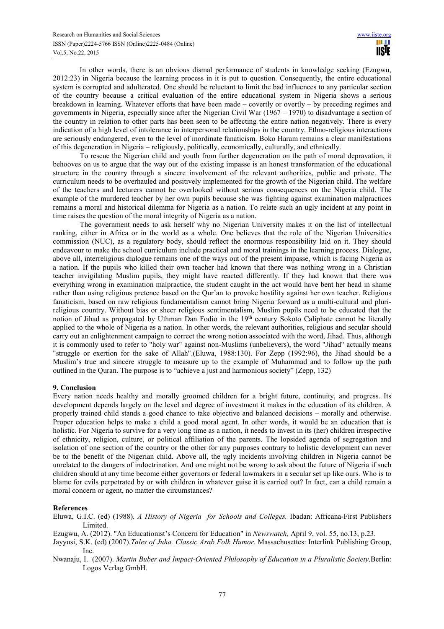In other words, there is an obvious dismal performance of students in knowledge seeking (Ezugwu, 2012:23) in Nigeria because the learning process in it is put to question. Consequently, the entire educational system is corrupted and adulterated. One should be reluctant to limit the bad influences to any particular section of the country because a critical evaluation of the entire educational system in Nigeria shows a serious breakdown in learning. Whatever efforts that have been made – covertly or overtly – by preceding regimes and governments in Nigeria, especially since after the Nigerian Civil War (1967 – 1970) to disadvantage a section of the country in relation to other parts has been seen to be affecting the entire nation negatively. There is every indication of a high level of intolerance in interpersonal relationships in the country. Ethno-religious interactions are seriously endangered, even to the level of inordinate fanaticism. Boko Haram remains a clear manifestations of this degeneration in Nigeria – religiously, politically, economically, culturally, and ethnically.

To rescue the Nigerian child and youth from further degeneration on the path of moral depravation, it behooves on us to argue that the way out of the existing impasse is an honest transformation of the educational structure in the country through a sincere involvement of the relevant authorities, public and private. The curriculum needs to be overhauled and positively implemented for the growth of the Nigerian child. The welfare of the teachers and lecturers cannot be overlooked without serious consequences on the Nigeria child. The example of the murdered teacher by her own pupils because she was fighting against examination malpractices remains a moral and historical dilemma for Nigeria as a nation. To relate such an ugly incident at any point in time raises the question of the moral integrity of Nigeria as a nation.

The government needs to ask herself why no Nigerian University makes it on the list of intellectual ranking, either in Africa or in the world as a whole. One believes that the role of the Nigerian Universities commission (NUC), as a regulatory body, should reflect the enormous responsibility laid on it. They should endeavour to make the school curriculum include practical and moral trainings in the learning process. Dialogue, above all, interreligious dialogue remains one of the ways out of the present impasse, which is facing Nigeria as a nation. If the pupils who killed their own teacher had known that there was nothing wrong in a Christian teacher invigilating Muslim pupils, they might have reacted differently. If they had known that there was everything wrong in examination malpractice, the student caught in the act would have bent her head in shame rather than using religious pretence based on the Qur'an to provoke hostility against her own teacher. Religious fanaticism, based on raw religious fundamentalism cannot bring Nigeria forward as a multi-cultural and plurireligious country. Without bias or sheer religious sentimentalism, Muslim pupils need to be educated that the notion of Jihad as propagated by Uthman Dan Fodio in the 19<sup>th</sup> century Sokoto Caliphate cannot be literally applied to the whole of Nigeria as a nation. In other words, the relevant authorities, religious and secular should carry out an enlightenment campaign to correct the wrong notion associated with the word, Jihad. Thus, although it is commonly used to refer to "holy war" against non-Muslims (unbelievers), the word "Jihad" actually means "struggle or exertion for the sake of Allah".(Eluwa, 1988:130). For Zepp (1992:96), the Jihad should be a Muslim's true and sincere struggle to measure up to the example of Muhammad and to follow up the path outlined in the Quran. The purpose is to "achieve a just and harmonious society" (Zepp, 132)

# **9. Conclusion**

Every nation needs healthy and morally groomed children for a bright future, continuity, and progress. Its development depends largely on the level and degree of investment it makes in the education of its children. A properly trained child stands a good chance to take objective and balanced decisions – morally and otherwise. Proper education helps to make a child a good moral agent. In other words, it would be an education that is holistic. For Nigeria to survive for a very long time as a nation, it needs to invest in its (her) children irrespective of ethnicity, religion, culture, or political affiliation of the parents. The lopsided agenda of segregation and isolation of one section of the country or the other for any purposes contrary to holistic development can never be to the benefit of the Nigerian child. Above all, the ugly incidents involving children in Nigeria cannot be unrelated to the dangers of indoctrination. And one might not be wrong to ask about the future of Nigeria if such children should at any time become either governors or federal lawmakers in a secular set up like ours. Who is to blame for evils perpetrated by or with children in whatever guise it is carried out? In fact, can a child remain a moral concern or agent, no matter the circumstances?

# **References**

Eluwa, G.I.C. (ed) (1988). *A History of Nigeria for Schools and Colleges.* Ibadan: Africana-First Publishers Limited.

Ezugwu, A. (2012). "An Educationist's Concern for Education" in *Newswatch,* April 9, vol. 55, no.13, p.23.

Jayyusi, S.K. (ed) (2007).*Tales of Juha. Classic Arab Folk Humor*. Massachusettes: Interlink Publishing Group, Inc.

Nwanaju, I. (2007). *Martin Buber and Impact-Oriented Philosophy of Education in a Pluralistic Society,*Berlin: Logos Verlag GmbH.